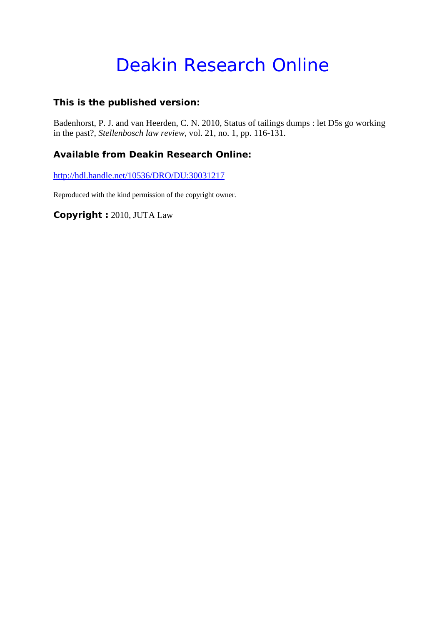# Deakin Research Online

## **This is the published version:**

Badenhorst, P. J. and van Heerden, C. N. 2010, Status of tailings dumps : let D5s go working in the past?*, Stellenbosch law review*, vol. 21, no. 1, pp. 116-131.

## **Available from Deakin Research Online:**

http://hdl.handle.net/10536/DRO/DU:30031217

Reproduced with the kind permission of the copyright owner.

**Copyright :** 2010, JUTA Law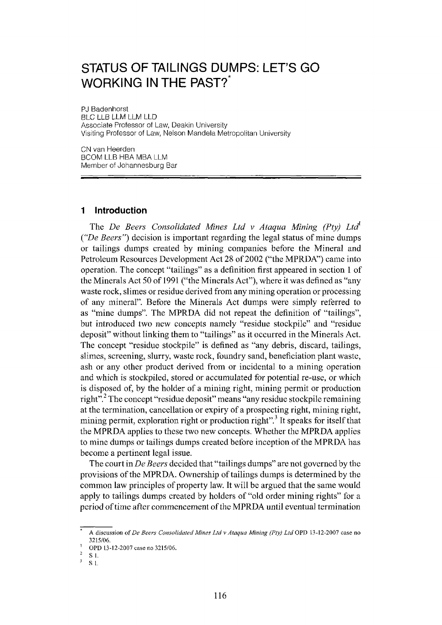# **STATUS OF TAILINGS DUMPS: LET'S GO WORKING IN THE PAST?\***

PJ Badenhorst BLC LLB LLM LLM LLD Associate Professor of Law, Deakin University Visiting Professor of Law, Nelson Mandela Metropolitan University

CN van Heerden BCOM LLB HBA MBA LLM Member of Johannesburg Bar

#### **1 Introduction**

The *De Beers Consolidated Mines Ltd v Ataqua Mining (Pty) Ltd' ("De Beers")* decision is important regarding the legal status of mine dumps or tailings dumps created by mining companies before the Mineral and Petroleum Resources Development Act 28 of 2002 ("the MPRDA") came into operation. The concept "tailings" as a definition first appeared in section 1 of the Minerals Act 50 of 1991 ("the Minerals Act"), where it was defined as "any waste rock, slimes or residue derived from any mining operation or processing of any mineral". Before the Minerals Act dumps were simply referred to as "mine dumps". The MPRDA did not repeat the definition of "tailings", but introduced two new concepts namely "residue stockpile" and "residue deposit" without linking them to "tailings" as it occurred in the Minerals Act. The concept "residue stockpile" is defined as "any debris, discard, tailings, slimes, screening, slurry, waste rock, foundry sand, beneficiation plant waste, ash or any other product derived from or incidental to a mining operation and which is stockpiled, stored or accumulated for potential re-use, or which is disposed of, by the holder of a mining right, mining permit or production right".<sup>2</sup> The concept "residue deposit" means "any residue stockpile remaining at the termination, cancellation or expiry of a prospecting right, mining right, mining permit, exploration right or production right".<sup>3</sup> It speaks for itself that the MPRDA applies to these two new concepts. Whether the MPRDA applies to mine dumps or tailings dumps created before inception of the MPRDA has become a pertinent legal issue.

The court in *De Beers* decided that "tailings dumps" are not governed by the provisions of the MPRDA. Ownership of tailings dumps is determined by the common law principles of property law. It will be argued that the same would apply to tailings dumps created by holders of "old order mining rights" for a period of time after commencement of the MPRDA until eventual termination

A discussion of *De Beers Consolidated Mines Ltd v Ataqua Mining (Ply) Ltd* OPD 13-12-2007 case no 3215/06.

OPD 13-12-2007 case no 3215/06.  $\overline{2}$ 

S1.

 $\overline{\mathbf{3}}$ S 1.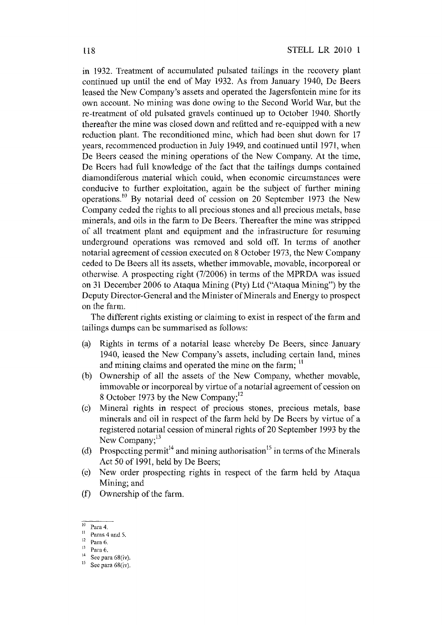in 1932. Treatment of accumulated pulsated tailings in the recovery plant continued up until the end of May 1932. As from January 1940, De Beers leased the New Company's assets and operated the Jagersfontein mine for its own account. No mining was done owing to the Second World War, but the re-treatment of old pulsated gravels continued up to October 1940. Shortly thereafter the mine was closed down and refitted and re-equipped with a new reduction plant. The reconditioned mine, which had been shut down for 17 years, recommenced production in July 1949, and continued until 1971, when De Beers ceased the mining operations of the New Company. At the time, De Beers had full knowledge of the fact that the tailings dumps contained diamondiferous material which could, when economic circumstances were conducive to further exploitation, again be the subject of further mining operations.<sup>10</sup> By notarial deed of cession on 20 September 1973 the New Company ceded the rights to all precious stones and all precious metals, base minerals, and oils in the farm to De Beers. Thereafter the mine was stripped of all treatment plant and equipment and the infrastructure for resuming underground operations was removed and sold off. In terms of another notarial agreement of cession executed on 8 October 1973, the New Company ceded to De Beers all its assets, whether immovable, movable, incorporeal or otherwise. A prospecting right (712006) in terms of the MPRDA was issued on 31 December 2006 to Ataqua Mining (Pty) Ltd ("Ataqua Mining") by the Deputy Director-General and the Minister of Minerals and Energy to prospect on the farm.

The different rights existing or claiming to exist in respect of the farm and tailings dumps can be summarised as follows:

- (a) Rights in terms of a notarial lease whereby De Beers, since January 1940, leased the New Company's assets, including certain land, mines and mining claims and operated the mine on the farm;  $<sup>11</sup>$ </sup>
- (b) Ownership of all the assets of the New Company, whether movable, immovable or incorporeal by virtue of a notarial agreement of cession on 8 October 1973 by the New Company;<sup>12</sup>
- (c) Mineral rights in respect of precious stones, precious metals, base minerals and oil in respect of the farm held by De Beers by virtue of a registered notarial cession of mineral rights 0[20 September 1993 by the New Company;<sup>13</sup>
- (d) Prospecting permit<sup>14</sup> and mining authorisation<sup>15</sup> in terms of the Minerals Act 50 of 1991, held by De Beers;
- (e) New order prospecting rights in respect of the farm held by Ataqua Mining; and
- (f) Ownership of the farm.

 $10$  Para 4.

 $\frac{11}{2}$  Paras 4 and 5.

<sup>12</sup> Para 6.

 $\frac{13}{14}$  Para 6.

<sup>&</sup>lt;sup>14</sup> See para 68(iv).

See para 68(iv).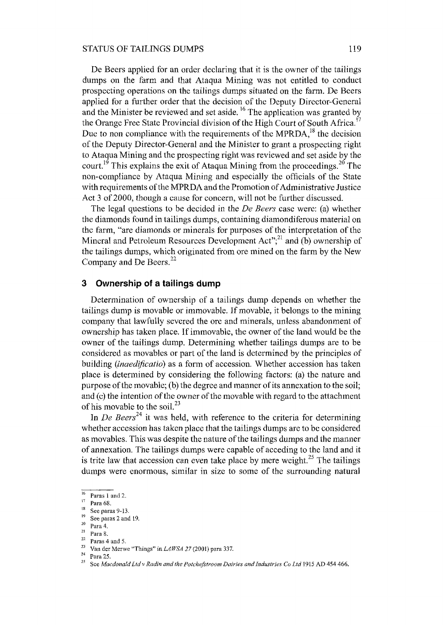#### STATUS OF TAILINGS DUMPS 119

De Beers applied for an order declaring that it is the owner of the tailings dumps on the farm and that Ataqua Mining was not entitled to conduct prospecting operations on the tailings dumps situated on the farm. De Beers applied for a further order that the decision of the Deputy Director-General and the Minister be reviewed and set aside.<sup>16</sup> The application was granted by the Orange Free State Provincial division of the High Court of South Africa.<sup>17</sup> Due to non compliance with the requirements of the MPRDA.<sup>18</sup> the decision of the Deputy Director-General and the Minister to grant a prospecting right to Ataqua Mining and the prospecting right was reviewed and set aside by the court.<sup>19</sup> This explains the exit of Ataqua Mining from the proceedings.<sup>20</sup> The non-compliance by Ataqua Mining and especially the officials of the State with requirements of the MPRDA and the Promotion of Administrative Justice Act 3 of 2000, though a cause for concern, will not be further discussed.

The legal questions to be decided in the *De Beers* case were: (a) whether the diamonds found in tailings dumps, containing diamondiferous material on the farm, "are diamonds or minerals for purposes of the interpretation of the Mineral and Petroleum Resources Development Act";<sup>21</sup> and (b) ownership of the tailings dumps, which originated from ore mined on the farm by the New Company and De Beers.<sup>22</sup>

#### **3 Ownership of a tailings dump**

Determination of ownership of a tailings dump depends on whether the tailings dump is movable or immovable. If movable, it belongs to the mining company that lawfully severed the ore and minerals, unless abandonment of ownership has taken place. If immovable, the owner of the land would be the owner of the tailings dump. Determining whether tailings dumps are to be considered as movables or part of the land is determined by the principles of building *(inaedificatio)* as a form of accession. Whether accession has taken place is determined by considering the following factors: (a) the nature and purpose of the movable; (b) the degree and manner of its annexation to the soil; and  $(c)$  the intention of the owner of the movable with regard to the attachment of his movable to the soil.<sup>23</sup>

In *De Beers*<sup>24</sup> it was held, with reference to the criteria for determining whether accession has taken place that the tailings dumps are to be considered as movables. This was despite the nature of the tailings dumps and the manner of annexation. The tailings dumps were capable of acceding to the land and it is trite law that accession can even take place by mere weight.<sup>25</sup> The tailings dumps were enormous, similar in size to some of the surrounding natural

 $\frac{16}{17}$  Paras 1 and 2.

 $\frac{17}{18}$  Para 68.

 $\frac{18}{19}$  See paras 9-13.

 $\frac{19}{20}$  See paras 2 and 19.

 $\frac{20}{21}$  Para 4.

 $\frac{21}{22}$  Para 8.

 $\frac{22}{23}$  Paras 4 and 5.

<sup>&</sup>lt;sup>23</sup> Van der Merwe "Things" in *LAWSA 27* (2001) para 337.

 $\frac{24}{25}$  Para 25.

<sup>25</sup> See *Macdonald Ltdv Radin and the Potchefttroom Dairies and Industries* Co *Ltd* 1915 AD 454 466.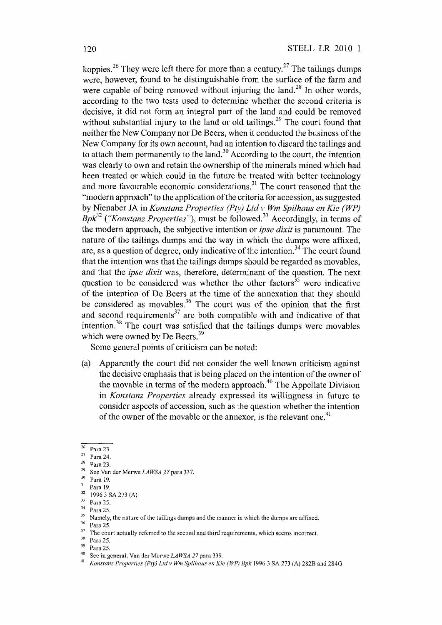koppies.<sup>26</sup> They were left there for more than a century.<sup>27</sup> The tailings dumps were, however, found to be distinguishable from the surface of the farm and were capable of being removed without injuring the land.<sup>28</sup> In other words, according to the two tests used to determine whether the second criteria is decisive, it did not form an integral part of the land and could be removed without substantial injury to the land or old tailings.<sup>29</sup> The court found that neither the New Company nor De Beers, when it conducted the business of the New Company for its own account, had an intention to discard the tailings and to attach them permanently to the land.<sup>30</sup> According to the court, the intention was clearly to own and retain the ownership of the minerals mined which had been treated or which could in the future be treated with better technology and more favourable economic considerations.<sup>31</sup> The court reasoned that the "modern approach" to the application of the criteria for accession, as suggested by Nienaber JA in *Konstanz Properties (Pty) Ltd* v *Wm Spilhaus en Kie (WP) Bpk*<sup>32</sup> ("*Konstanz Properties*"), must be followed.<sup>33</sup> Accordingly, in terms of the modern approach, the subjective intention or *ipse dixit* is paramount. The nature of the tailings dumps and the way in which the dumps were affixed, are, as a question of degree, only indicative of the intention.<sup>34</sup> The court found that the intention was that the tailings dumps should be regarded as movables, and that the *ipse dixit* was, therefore, determinant of the question. The next question to be considered was whether the other factors $35$  were indicative of the intention of De Beers at the time of the annexation that they should be considered as movables.<sup>36</sup> The court was of the opinion that the first and second requirements<sup>37</sup> are both compatible with and indicative of that intention.38 The court was satisfied that the tailings dumps were movables which were owned by De Beers.<sup>39</sup>

Some general points of criticism can be noted:

(a) Apparently the court did not consider the well known criticism against the decisive emphasis that is being placed on the intention of the owner of the movable in terms of the modern approach.<sup>40</sup> The Appellate Division in *Konstanz Properties* already expressed its Willingness in future to consider aspects of accession, such as the question whether the intention of the owner of the movable or the annexor, is the relevant one.<sup>41</sup>

 $\frac{34}{35}$  Para 25.

 $\frac{38}{39}$  Para 25.

<sup>26</sup> Para 23.

 $\frac{27}{28}$  Para 24.

Para 23.

<sup>29</sup> See Van der Merwe *LAWSA* 27 para 337.

 $\frac{30}{31}$  Para 19.

 $\frac{31}{32}$  Para 19.

 $^{32}$  1996 3 SA 273 (A).

 $33$  Para 25.

<sup>&</sup>lt;sup>35</sup> Namely, the nature of the tailings dumps and the manner in which the dumps are affixed.<br><sup>36</sup> Pass 35<sup>6</sup>

 $\frac{36}{37}$  Para 25.

 $37$  The court actually referred to the second and third requirements, which seems incorrect.

Para 25.

<sup>40</sup> See in general, Van der Merwe *LAWSA* 27 para 339.

<sup>41</sup> *Konstanz Properties (Pty) Ltd v Wm Spilhaus en Kie (WP) Bpk* 1996 3 SA 273 (A) 282B and 2840.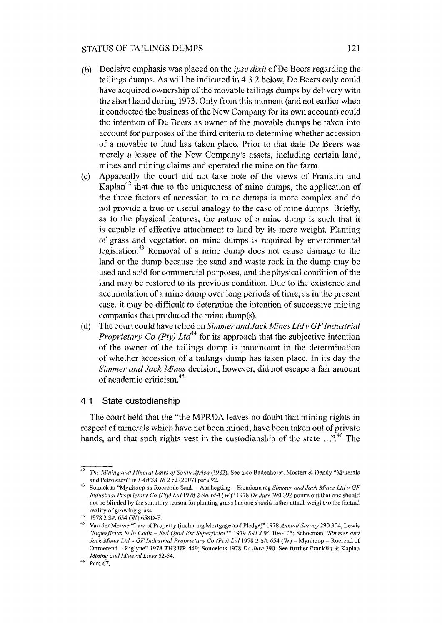#### STATUS OF TAILINGS DUMPS 121

- (b) Decisive emphasis was placed on the *ipse dixit* of De Beers regarding the tailings dumps. As will be indicated in 432 below, De Beers only could have acquired ownership of the movable tailings dumps by delivery with the short hand during 1973. Only from this moment (and not earlier when it conducted the business of the New Company for its own account) could the intention of De Beers as owner of the movable dumps be taken into account for purposes of the third criteria to determine whether accession of a movable to land has taken place. Prior to that date De Beers was merely a lessee of the New Company's assets, including certain land, mines and mining claims and operated the mine on the farm.
- (c) Apparently the court did not take note of the views of Franklin and Kaplan<sup> $42$ </sup> that due to the uniqueness of mine dumps, the application of the three factors of accession to mine dumps is more complex and do not provide a true or useful analogy to the case of mine dumps. Briefly, as to the physical features, the nature of a mine dump is such that it is capable of effective attachment to land by its mere weight. Planting of grass and vegetation on mine dumps is required by environmental legislation.<sup>43</sup> Removal of a mine dump does not cause damage to the land or the dump because the sand and waste rock in the dump may be used and sold for commercial purposes, and the physical condition of the land may be restored to its previous condition. Due to the existence and accumulation of a mine dump over long periods of time, as in the present case, it may be difficult to determine the intention of successive mining companies that produced the mine dump(s).
- (d) The court could have relied on *Simmer and Jack Mines Ltd* v *GF Industrial Proprietary Co (Pty) Ltd*<sup>44</sup> for its approach that the subjective intention of the owner of the tailings dump is paramount in the determination of whether accession of a tailings dump has taken place. In its day the *Simmer and Jack Mines* decision, however, did not escape a fair amount of academic criticism.<sup>45</sup>

#### 4 1 State custodianship

The court held that the "the MPRDA leaves no doubt that mining rights in respect of minerals which have not been mined, have been taken out of private hands, and that such rights vest in the custodianship of the state  $\ldots$  <sup>46</sup>. The

*<sup>42</sup> The Mining and Mineral Laws of South Africa* (1982). See also Badenhorst, Mostert & Dendy "Minerals and Petroleum" in *LAWSA* 182 ed (2007) para 92.

<sup>43</sup> Sonnekus "Mynhoop as Roerende Saak - Aanhegting - Eiendomsreg *Simmer and Jack Mines Ltd v GF Industrial Proprietary Co (Pty) Ltd* 1978 2 SA 654 (W)" 1978 *De Jure* 390 392 points out that one should not be blinded by the statutory reason for planting grass but one should rather attach weight to the factual reality of growing grass.

<sup>44 19782</sup> SA 654 (W) 658D-F.

<sup>45</sup> Van der Merwe "Law of Property (including Mortgage and Pledge)" 1978 *Annual Survey* 290 304; Lewis *"Superficius Solo Cedit* - *Sed Quid Est Superficies?"* 1979 *SALJ94* 104-105; Schoeman *"Simmer and Jack Mines Ltd v GF Industrial Proprietary* Co *(Pty) Ltd* 1978 2 SA 654 (W) - Mynhoop - Roerend of Onroerend ~ Riglyne" 1978 THRHR 449; Sonnekus 1978 *De Jure* 390. See further Franklin & Kaplan *Mining and Mineral Laws 52-54.* 

 $46$  Para 67.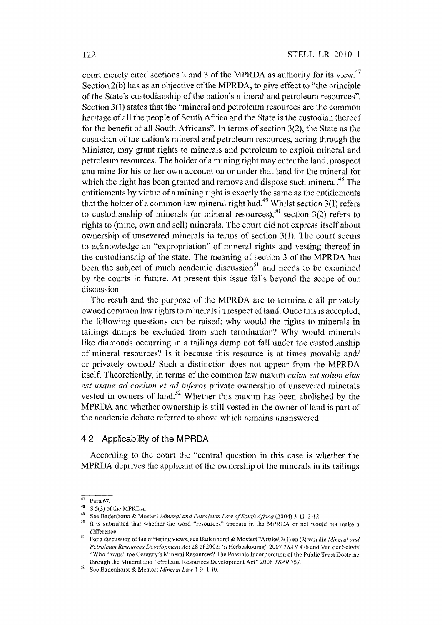court merely cited sections 2 and 3 of the MPRDA as authority for its view.<sup>47</sup> Section 2(b) has as an objective of the MPRDA, to give effect to "the principle of the State's custodianship of the nation's mineral and petroleum resources". Section 3(1) states that the "mineral and petroleum resources are the common heritage of all the people of South Africa and the State is the custodian thereof for the benefit of all South Africans". In terms of section 3(2), the State as the custodian of the nation's mineral and petroleum resources, acting through the Minister, may grant rights to minerals and petroleum to exploit mineral and petroleum resources. The holder of a mining right may enter the land, prospect and mine for his or her own account on or under that land for the mineral for which the right has been granted and remove and dispose such mineral.<sup>48</sup> The entitlements by virtue of a mining right is exactly the same as the entitlements that the holder of a common law mineral right had.<sup>49</sup> Whilst section 3(1) refers to custodianship of minerals (or mineral resources),<sup>50</sup> section 3(2) refers to rights to (mine, own and sell) minerals. The court did not express itself about ownership of unsevered minerals in terms of section 3(1). The court seems to acknowledge an "expropriation" of mineral rights and vesting thereof in the custodianship of the state. The meaning of section 3 of the MPRDA has been the subject of much academic discussion<sup>51</sup> and needs to be examined by the courts in future. At present this issue falls beyond the scope of our discussion.

The result and the purpose of the MPRDA are to terminate all privately owned common law rights to minerals in respect of land. Once this is accepted, the following questions can be raised: why would the rights to minerals in tailings dumps be excluded from such termination? Why would minerals like diamonds occurring in a tailings dump not fall under the custodianship of mineral resources? Is it because this resource is at times movable and/ or privately owned? Such a distinction does not appear from the MPRDA itself. Theoretically, in terms of the common law maxim *cuius est solum eius est usque ad coelum et ad inferos private ownership of unsevered minerals* vested in owners of land.<sup>52</sup> Whether this maxim has been abolished by the MPRDA and whether ownership is still vested in the owner of land is part of the academic debate referred to above which remains unanswered.

#### 4 2 Applicability of the **MPRDA**

According to the court the "central question in this case is whether the MPRDA deprives the applicant of the ownership of the minerals in its tailings

 $47 \text{ Para } 67.$ 

 $^{48}$  S 5(3) of the MPRDA.

<sup>49</sup> See Badenhorst & Mostert *Mineral and Petroleum Law of South Africa* (2004) 3-11-3-12.

<sup>&</sup>lt;sup>50</sup> It is submitted that whether the word "resources" appears in the MPRDA or not would not make a difference.

S] For a discussion of the differing views, see Badenhorst & Mostert "Artike13(l) en (2) van die *Mineral and*  Petroleum Resources Development Act 28 of 2002: 'n Herbeskouing" 2007 *TSAR* 476 and Van der Schyff "Who "owns" the Country's Mineral Resources? The Possible Incorporation of the Public Trust Doctrine through the Mineral and Petroleum Resources Development Act" 2008 *TSAR 757.* 

<sup>52</sup> See Badenhorst & Mostert *Mineral Law 1-9-1-10.*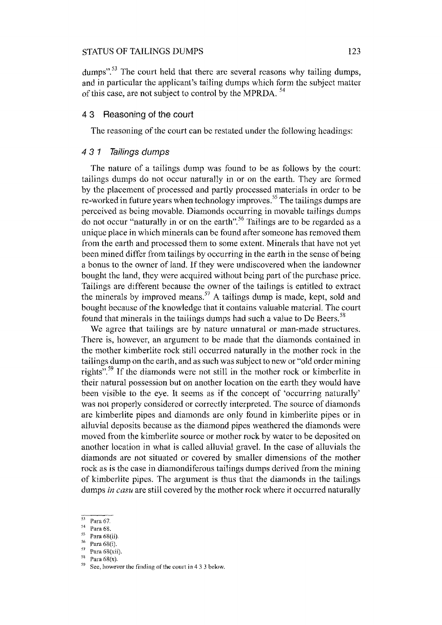#### STATUS OF TAILINGS DUMPS 123

dumps".<sup>53</sup> The court held that there are several reasons why tailing dumps, and in particular the applicant's tailing dumps which form the subject matter of this case, are not subject to control by the MPRDA.<sup>54</sup>

#### 4 3 Reasoning of the court

The reasoning of the court can be restated under the following headings:

#### 4 3 1 Tailings dumps

The nature of a tailings dump was found to be as follows by the court: tailings dumps do not occur naturally in or on the earth. They are formed by the placement of processed and partly processed materials in order to be re-worked in future years when technology improves. 55 The tailings dumps are perceived as being movable. Diamonds occurring in movable tailings dumps do not occur "naturally in or on the earth".<sup>56</sup> Tailings are to be regarded as a unique place in which minerals can be found after someone has removed them from the earth and processed them to some extent. Minerals that have not yet been mined differ from tailings by occurring in the earth in the sense of being a bonus to the owner of land. If they were undiscovered when the landowner bought the land, they were acquired without being part of the purchase price. Tailings are different because the owner of the tailings is entitled to extract the minerals by improved means.<sup>57</sup> A tailings dump is made, kept, sold and bought because of the knowledge that it contains valuable material. The court found that minerals in the tailings dumps had such a value to De Beers.<sup>58</sup>

We agree that tailings are by nature unnatural or man-made structures. There is, however, an argument to be made that the diamonds contained in the mother kimberlite rock still occurred naturally in the mother rock in the tailings dump on the earth, and as such was subject to new or "old order mining rights".<sup>59</sup> If the diamonds were not still in the mother rock or kimberlite in their natural possession but on another location on the earth they would have been visible to the eye. It seems as if the concept of 'occurring naturally' was not properly considered or correctly interpreted. The source of diamonds are kimberlite pipes and diamonds are only found in kimberlite pipes or in alluvial deposits because as the diamond pipes weathered the diamonds were moved from the kimberlite source or mother rock by water to be deposited on another location in what is called alluvial gravel. In the case of alluvials the diamonds are not situated or covered by smaller dimensions of the mother rock as is the case in diamondiferous tailings dumps derived from the mining of kimberlite pipes. The argument is thus that the diamonds in the tailings dumps *in casu* are still covered by the mother rock where it occurred naturally

- 54 Para 68.
- $\frac{55}{56}$  Para 68(ii).
- $\frac{56}{57}$  Para 68(i).
- $^{57}$  Para 68(xii).
- Para  $68(x)$ .

See, however the finding of the court in 4 3 3 below.

 $53$  Para 67.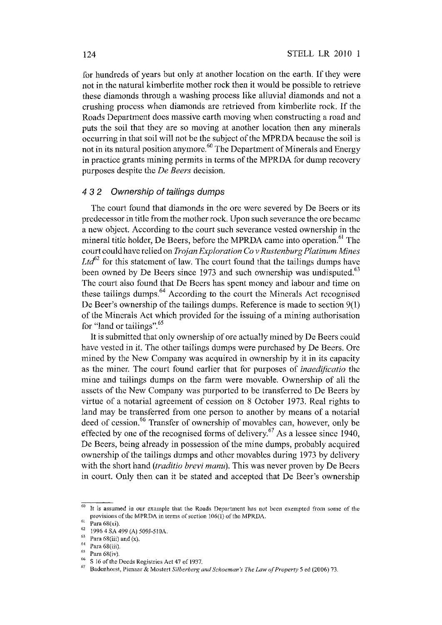for hundreds of years but only at another location on the earth. If they were not in the natural kimberlite mother rock then it would be possible to retrieve these diamonds through a washing process like alluvial diamonds and not a crushing process when diamonds are retrieved from kimberlite rock. If the Roads Department does massive earth moving when constructing a road and puts the soil that they are so moving at another location then any minerals occurring in that soil will not be the subject of the MPRDA because the soil is not in its natural position anymore.<sup>60</sup> The Department of Minerals and Energy in practice grants mining permits in terms of the MPRDA for dump recovery purposes despite the *De Beers* decision.

#### 4 3 2 Ownership of tailings dumps

The court found that diamonds in the are were severed by De Beers or its predecessor in title from the mother rock. Upon such severance the ore became a new object. According to the court such severance vested ownership in the mineral title holder, De Beers, before the MPRDA came into operation.<sup>61</sup> The court could have relied on *Trojan Exploration Co* v *Rustenburg Platinum Mines*   $Ltd^{62}$  for this statement of law. The court found that the tailings dumps have been owned by De Beers since 1973 and such ownership was undisputed.<sup>63</sup> The court also found that De Beers has spent money and labour and time on these tailings dumps.<sup>64</sup> According to the court the Minerals Act recognised De Beer's ownership of the tailings dumps. Reference is made to section 9(1) of the Minerals Act which provided for the issuing of a mining authorisation for "land or tailings".<sup>65</sup>

It is submitted that only ownership of ore actually mined by De Beers could have vested in it. The other tailings dumps were purchased by De Beers. Ore mined by the New Company was acquired in ownership by it in its capacity as the miner. The court found earlier that for purposes of *inaedijicatio* the mine and tailings dumps on the farm were movable. Ownership of all the assets of the New Company was purported to be transferred to De Beers by virtue of a notarial agreement of cession on 8 October 1973. Real rights to land may be transferred from one person to another by means of a notarial deed of cession.<sup>66</sup> Transfer of ownership of movables can, however, only be effected by one of the recognised forms of delivery.<sup>67</sup> As a lessee since 1940, De Beers, being already in possession of the mine dumps, probably acquired ownership of the tailings dumps and other movables during 1973 by delivery with the short hand *(traditio brevi manu).* This was never proven by De Beers in court. Only then can it be stated and accepted that De Beer's ownership

 $\frac{60}{11}$  is assumed in our example that the Roads Department has not been exempted from some of the provisions of the MPRDA in terms of section 106(1) of the MPRDA.

 $^{61}$  Para 68(xi).

<sup>1996 4</sup> SA 499 (A) 509J-510A.

 $^{63}$  Para 68(iii) and (x).

 $^{64}$  Para 68(iii).

 $^{65}$  Para 68(iv).

 $^{66}$  S 16 of the Deeds Registries Act 47 of 1937.

<sup>67</sup> Badenhorst, Pienaar & Mostert *Silberberg and Schoeman 's The Law of Property* 5 ed (2006) 73.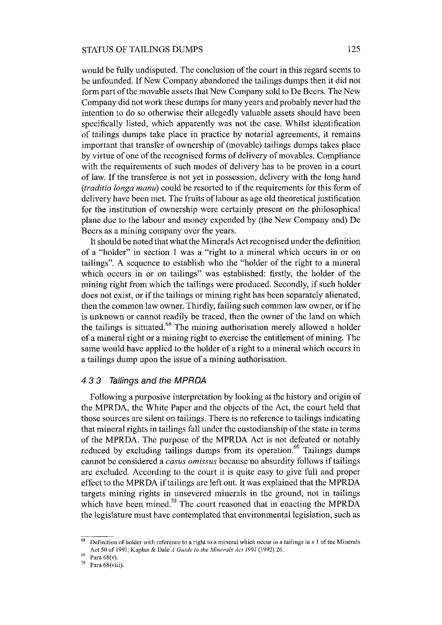would be fully undisputed. The conclusion of the court in this regard seems to be unfounded. If New Company abandoned the tailings dumps then it did not form part of the movable assets that New Company sold to De Beers. The New Company did not work these dumps for many years and probably never had the intention to do so otherwise their allegedly valuable assets should have been specifically listed, which apparently was not the case. Whilst identification of tailings dumps take place in practice by notarial agreements, it remains important that transfer of ownership of (movable) tailings dumps takes place by virtue of one of the recognised forms of delivery of movables. Compliance with the requirements of such modes of delivery has to be proven in a court of law. If the transferee is not yet in possession, delivery with the long hand *(traditio tonga manu)* could be resorted to if the requirements for this form of delivery have been met. The fruits of labour as age old theoretical justification for the institution of ownership were certainly present on the philosophical plane due to the labour and money expended by (the New Company and) De Beers as a mining company over the years.

It should be noted that what the Minerals Act recognised under the definition of a "holder" in section 1 was a "right to a mineral which occurs in or on tailings". A sequence to establish who the "holder of the right to a mineral which occurs in or on tailings" was established: firstly, the holder of the mining right from which the tailings were produced. Secondly, if such holder does not exist, or if the tailings or mining right has been separately alienated, then the common law owner. Thirdly, failing such common law owner, or if he is unknown or cannot readily be traced, then the owner of the land on which the tailings is situated. $68$  The mining authorisation merely allowed a holder of a mineral right or a mining right to exercise the entitlement of mining. The same would have applied to the holder of a right to a mineral which occurs in a tailings dump upon the issue of a mining authorisation.

#### 4 3 3 Tailings and the MPRDA

Following a purposive interpretation by looking at the history and origin of the MPRDA, the White Paper and the objects of the Act, the court held that those sources are silent on tailings. There is no reference to tailings indicating that mineral rights in tailings fall under the custodianship of the state in terms of the MPRDA. The purpose of the MPRDA Act is not defeated or notably reduced by excluding tailings dumps from its operation.<sup>69</sup> Tailings dumps cannot be considered a *casus omissus* because no absurdity follows if tailings are excluded. According to the court it is quite easy to give full and proper effect to the MPRDA if tailings are left out. It was explained that the MPRDA targets mining rights in unsevered minerals in the ground, not in tailings which have been mined.<sup>70</sup> The court reasoned that in enacting the MPRDA the legislature must have contemplated that environmental legislation, such as

<sup>68</sup>Definition of holder with reference to a right to a mineral which occur in a tailings in s 1 of the Minerals Act 50 of 1991; Kaplan & Dale *A Guide to the Minerals Act* 1991 (1992) 26.

 $^{69}$  Para 68(v).<br><sup>70</sup> Para 68(vii)

Para 68(viii).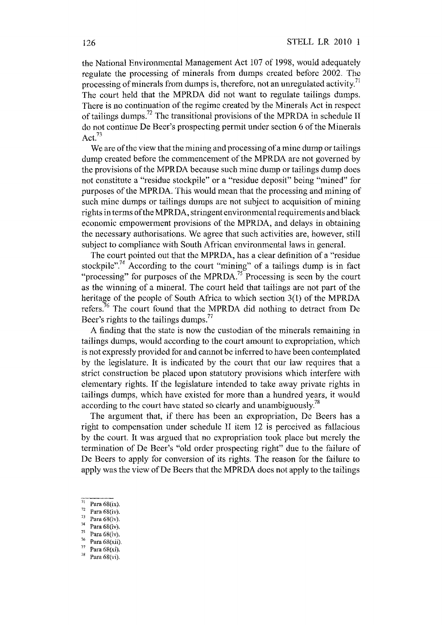the National Environmental Management Act 107 of 1998, would adequately regulate the processing of minerals from dumps created before 2002. The processing of minerals from dumps is, therefore, not an unregulated activity.<sup> $\pi$ </sup> The court held that the MPRDA did not want to regulate tailings dumps. There is no continuation of the regime created by the Minerals Act in respect of tailings dumps.<sup>72</sup> The transitional provisions of the MPRDA in schedule II do not continue De Beer's prospecting permit under section 6 of the Minerals Act. $73$ 

We are of the view that the mining and processing of a mine dump or tailings dump created before the commencement of the MPRDA are not governed by the provisions of the MPRDA because such mine dump or tailings dump does not constitute a "residue stockpile" or a "residue deposit" being "mined" for purposes of the MPRDA. This would mean that the processing and mining of such mine dumps or tailings dumps are not subject to acquisition of mining rights in terms of the MPRDA, stringent environmental requirements and black economic empowerment provisions of the MPRDA, and delays in obtaining the necessary authorisations. We agree that such activities are, however, still subject to compliance with South African environmental laws in general.

The court pointed out that the MPRDA, has a clear definition of a "residue stockpile".<sup>74</sup> According to the court "mining" of a tailings dump is in fact "processing" for purposes of the MPRDA.<sup>75</sup> Processing is seen by the court as the winning of a mineral. The court held that tailings are not part of the heritage of the people of South Africa to which section 3(1) of the MPRDA refers.<sup>76</sup> The court found that the MPRDA did nothing to detract from De Beer's rights to the tailings dumps.<sup>77</sup>

A finding that the state is now the custodian of the minerals remaining in tailings dumps, would according to the court amount to expropriation, which is not expressly provided for and cannot be inferred to have been contemplated by the legislature. It is indicated by the court that our law requires that a strict construction be placed upon statutory provisions which interfere with elementary rights. If the legislature intended to take away private rights in tailings dumps, which have existed for more than a hundred years, it would according to the court have stated so clearly and unambiguously.<sup>78</sup>

The argument that, if there has been an expropriation, De Beers has a right to compensation under schedule II item 12 is perceived as fallacious by the court. It was argued that no expropriation took place but merely the termination of De Beer's "old order prospecting right" due to the failure of De Beers to apply for conversion of its rights. The reason for the failure to apply was the view of De Beers that the MPRDA does not apply to the tailings

- $^{73}$  Para 68(iv).
- Para 68(iv).
- $^{75}$  Para 68(iv).
- $^{76}$  Para 68(xii).
- $\frac{77}{78}$  Para 68(xi).
- Para 68(vi).

 $\frac{\pi}{2}$  Para 68(ix).

 $\frac{72}{73}$  Para 68(iv).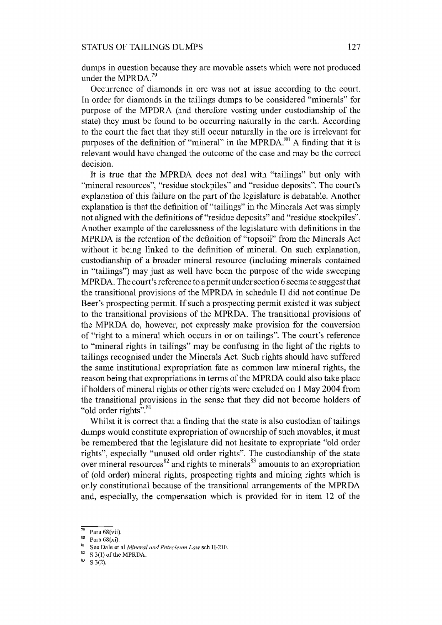dumps in question because they are movable assets which were not produced under the MPRDA. $^{79}$ 

Occurrence of diamonds in ore was not at issue according to the court. In order for diamonds in the tailings dumps to be considered "minerals" for purpose of the MPDRA (and therefore vesting under custodianship of the state) they must be found to be occurring naturally in the earth. According to the court the fact that they still occur naturally in the ore is irrelevant for purposes of the definition of "mineral" in the MPRDA.<sup>80</sup> A finding that it is relevant would have changed the outcome of the case and may be the correct decision.

It is true that the MPRDA does not deal with "tailings" but only with "mineral resources", "residue stockpiles" and "residue deposits". The court's explanation of this failure on the part of the legislature is debatable. Another explanation is that the definition of "tailings" in the Minerals Act was simply not aligned with the definitions of "residue deposits" and "residue stockpiles". Another example of the carelessness of the legislature with definitions in the MPRDA is the retention of the definition of "topsoil" from the Minerals Act without it being linked to the definition of mineral. On such explanation, custodianship of a broader mineral resource (including minerals contained in "tailings") may just as well have been the purpose of the wide sweeping MPRDA. The court's reference to a permit under section 6 seems to suggest that the transitional provisions of the MPRDA in schedule II did not continue De Beer's prospecting permit. If such a prospecting permit existed it was subject to the transitional provisions of the MPRDA. The transitional provisions of the MPRDA do, however, not expressly make provision for the conversion of "right to a mineral which occurs in or on tailings". The court's reference to "mineral rights in tailings" may be confusing in the light of the rights to tailings recognised under the Minerals Act. Such rights should have suffered the same institutional expropriation fate as common law mineral rights, the reason being that expropriations in terms of the MPRDA could also take place if holders of mineral rights or other rights were excluded on 1 May 2004 from the transitional provisions in the sense that they did not become holders of "old order rights".<sup>81</sup>

Whilst it is correct that a finding that the state is also custodian of tailings dumps would constitute expropriation of ownership of such movables, it must be remembered that the legislature did not hesitate to expropriate "old order rights", especially "unused old order rights". The custodianship of the state over mineral resources $82$  and rights to minerals $83$  amounts to an expropriation of (old order) mineral rights, prospecting rights and mining rights which is only constitutional because of the transitional arrangements of the MPRDA and, especially, the compensation which is provided for in item 12 of the

 $\frac{79}{80}$  Para 68(vii).

 $\frac{80}{81}$  Para 68(xi).

<sup>81</sup> See Dale et al *Mineral and Petroleum Law* sch II-2ID.

S 3(1) of the MPRDA.

 $83$  S 3(2).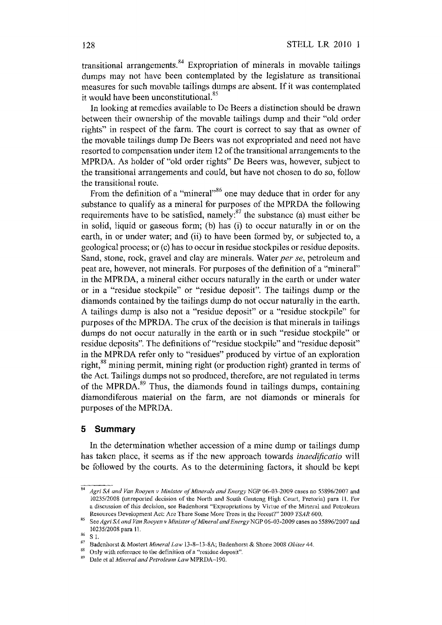transitional arrangements.  $84$  Expropriation of minerals in movable tailings dumps may not have been contemplated by the legislature as transitional measures for such movable tailings dumps are absent. If it was contemplated it would have been unconstitutional. $85$ 

In looking at remedies available to De Beers a distinction should be drawn between their ownership of the movable tailings dump and their "old order rights" in respect of the farm. The court is correct to say that as owner of the movable tailings dump De Beers was not expropriated and need not have resorted to compensation under item 12 of the transitional arrangements to the MPRDA. As holder of "old order rights" De Beers was, however, subject to the transitional arrangements and could, but have not chosen to do so, follow the transitional route.

From the definition of a "mineral"<sup>86</sup> one may deduce that in order for any substance to qualify as a mineral for purposes of the MPRDA the following requirements have to be satisfied, namely: $^{87}$  the substance (a) must either be in solid, liquid or gaseous form; (b) has (i) to occur naturally in or on the earth, in or under water; and (ii) to have been formed by, or subjected to, a geological process; or (c) has to occur in residue stockpiles or residue deposits. Sand, stone, rock, gravel and clay are minerals. Water *per se,* petroleum and peat are, however, not minerals. For purposes of the definition of a "mineral" in the MPRDA, a mineral either occurs naturally in the earth or under water or in a "residue stockpile" or "residue deposit". The tailings dump or the diamonds contained by the tailings dump do not occur naturally in the earth. A tailings dump is also not a "residue deposit" or a "residue stockpile" for purposes of the MPRDA. The crux of the decision is that minerals in tailings dumps do not occur naturally in the earth or in such "residue stockpile" or residue deposits". The definitions of "residue stockpile" and "residue deposit" in the MPRDA refer only to "residues" produced by virtue of an exploration right,<sup>88</sup> mining permit, mining right (or production right) granted in terms of the Act. Tailings dumps not so produced, therefore, are not regulated in terms of the MPRDA. 89 Thus, the diamonds found in tailings dumps, containing diamondiferous material on the farm, are not diamonds or minerals for purposes of the MPRDA.

#### **5 Summary**

In the determination whether accession of a mine dump or tailings dump has taken place, it seems as if the new approach towards *inaedificatio* will be followed by the courts. As to the determining factors, it should be kept

<sup>84</sup>*Agri SA and Van Rooyen* v *Minister of Minerals and Energy* NOP 06-03-2009 cases no *5589612007* and *1023512008* (unreported decision of the North and South Gauteng High Court, Pretoria) para 11. For a discussion of this decision, see Badenhorst "Expropriations by Virtue of the Mineral and Petroleum Resources Development Act: Are There Some More Trees in the Forest?" 2009 *TSAR 600.* 

B5 See *Agri SA and Van Rooyen v Minister of Mineral and Energy* NOP 06-03-2009 cases no *5589612007* and *10235/2008* para 11.<br><sup>86</sup> S 1.<br><sup>87</sup> Pedanbaat <sup>8</sup>t Maat.

<sup>87</sup> Badenhorst & Mostert *Mineral Law* 13-8-13-8A; Badenhorst & Shone 2008 *Obiter* 44.

<sup>&</sup>lt;sup>88</sup> Only with reference to the definition of a "residue deposit".<br><sup>89</sup> Data to al *Mineral and Betralium Land DR DA* 100.

<sup>89</sup> Dale et al *Mineral and Petroleum Law* MPRDA-190.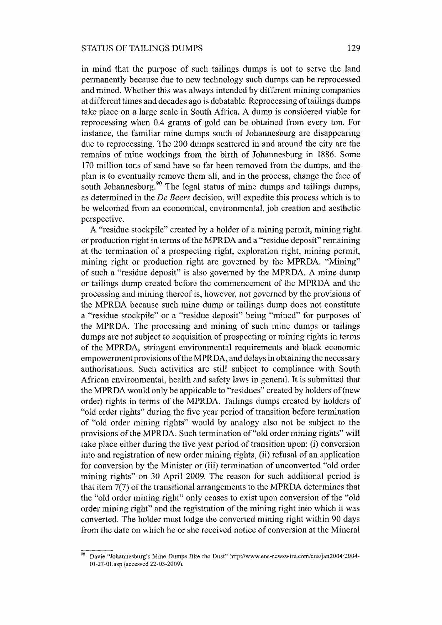in mind that the purpose of such tailings dumps is not to serve the land permanently because due to new technology such dumps can be reprocessed and mined. Whether this was always intended by different mining companies at different times and decades ago is debatable. Reprocessing of tailings dumps take place on a large scale in South Africa. A dump is considered viable for reprocessing when 0.4 grams of gold can be obtained from every ton. For instance, the familiar mine dumps south of Johannesburg are disappearing due to reprocessing. The 200 dumps scattered in and around the city are the remains of mine workings from the birth of Johannesburg in 1886. Some 170 million tons of sand have so far been removed from the dumps, and the plan is to eventually remove them all, and in the process, change the face of south Johannesburg.<sup>90</sup> The legal status of mine dumps and tailings dumps, as determined in the *De Beers* decision, will expedite this process which is to be welcomed from an economical, environmental, job creation and aesthetic perspective.

A "residue stockpile" created by a holder of a mining permit, mining right or production right in terms of the MPRDA and a "residue deposit" remaining at the termination of a prospecting right, exploration right, mining permit, mining right or production right are governed by the MPRDA. "Mining" of such a "residue deposit" is also governed by the MPRDA. A mine dump or tailings dump created before the commencement of the MPRDA and the processing and mining thereof is, however, not governed by the provisions of the MPRDA because such mine dump or tailings dump does not constitute a "residue stockpile" or a "residue deposit" being "mined" for purposes of the MPRDA. The processing and mining of such mine dumps or tailings dumps are not subject to acquisition of prospecting or mining rights in terms of the MPRDA, stringent environmental requirements and black economic empowerment provisions ofthe MPRDA, and delays in obtaining the necessary authorisations. Such activities are still subject to compliance with South African environmental, health and safety laws in general. It is submitted that the MPRDA would only be applicable to "residues" created by holders of (new order) rights in terms of the MPRDA. Tailings dumps created by holders of "old order rights" during the five year period of transition before termination of "old order mining rights" would by analogy also not be subject to the provisions of the MPRDA. Such termination of "old order mining rights" will take place either during the five year period of transition upon: (i) conversion into and registration of new order mining rights, (ii) refusal of an application for conversion by the Minister or (iii) termination of unconverted "old order mining rights" on 30 April 2009. The reason for such additional period is that item 7(7) of the transitional arrangements to the MPRDA determines that the "old order mining right" only ceases to exist upon conversion of the "old order mining right" and the registration of the mining right into which it was converted. The holder must lodge the converted mining right within 90 days from the date on which he or she received notice of conversion at the Mineral

<sup>&</sup>lt;sup>90</sup> Davie "Johannesburg's Mine Dumps Bite the Dust" http://www.ens-newswire.com/ens/jan2004/2004-01-27-0I.asp (accessed 22-03-2009).